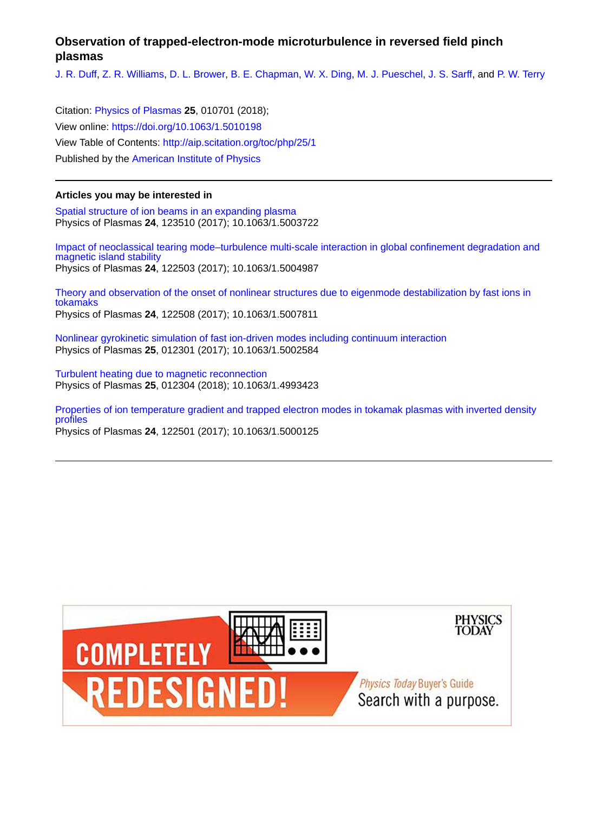## **Observation of trapped-electron-mode microturbulence in reversed field pinch plasmas**

[J. R. Duff,](http://aip.scitation.org/author/Duff%2C+J+R) [Z. R. Williams,](http://aip.scitation.org/author/Williams%2C+Z+R) [D. L. Brower,](http://aip.scitation.org/author/Brower%2C+D+L) [B. E. Chapman](http://aip.scitation.org/author/Chapman%2C+B+E), [W. X. Ding,](http://aip.scitation.org/author/Ding%2C+W+X) [M. J. Pueschel,](http://aip.scitation.org/author/Pueschel%2C+M+J) [J. S. Sarff](http://aip.scitation.org/author/Sarff%2C+J+S), and [P. W. Terry](http://aip.scitation.org/author/Terry%2C+P+W)

Citation: [Physics of Plasmas](/loi/php) **25**, 010701 (2018); View online: <https://doi.org/10.1063/1.5010198> View Table of Contents: <http://aip.scitation.org/toc/php/25/1> Published by the [American Institute of Physics](http://aip.scitation.org/publisher/)

## **Articles you may be interested in**

[Spatial structure of ion beams in an expanding plasma](http://aip.scitation.org/doi/abs/10.1063/1.5003722) Physics of Plasmas **24**, 123510 (2017); 10.1063/1.5003722

[Impact of neoclassical tearing mode–turbulence multi-scale interaction in global confinement degradation and](http://aip.scitation.org/doi/abs/10.1063/1.5004987) [magnetic island stability](http://aip.scitation.org/doi/abs/10.1063/1.5004987) Physics of Plasmas **24**, 122503 (2017); 10.1063/1.5004987

[Theory and observation of the onset of nonlinear structures due to eigenmode destabilization by fast ions in](http://aip.scitation.org/doi/abs/10.1063/1.5007811) [tokamaks](http://aip.scitation.org/doi/abs/10.1063/1.5007811) Physics of Plasmas **24**, 122508 (2017); 10.1063/1.5007811

[Nonlinear gyrokinetic simulation of fast ion-driven modes including continuum interaction](http://aip.scitation.org/doi/abs/10.1063/1.5002584) Physics of Plasmas **25**, 012301 (2017); 10.1063/1.5002584

[Turbulent heating due to magnetic reconnection](http://aip.scitation.org/doi/abs/10.1063/1.4993423) Physics of Plasmas **25**, 012304 (2018); 10.1063/1.4993423

[Properties of ion temperature gradient and trapped electron modes in tokamak plasmas with inverted density](http://aip.scitation.org/doi/abs/10.1063/1.5000125) [profiles](http://aip.scitation.org/doi/abs/10.1063/1.5000125) Physics of Plasmas **24**, 122501 (2017); 10.1063/1.5000125

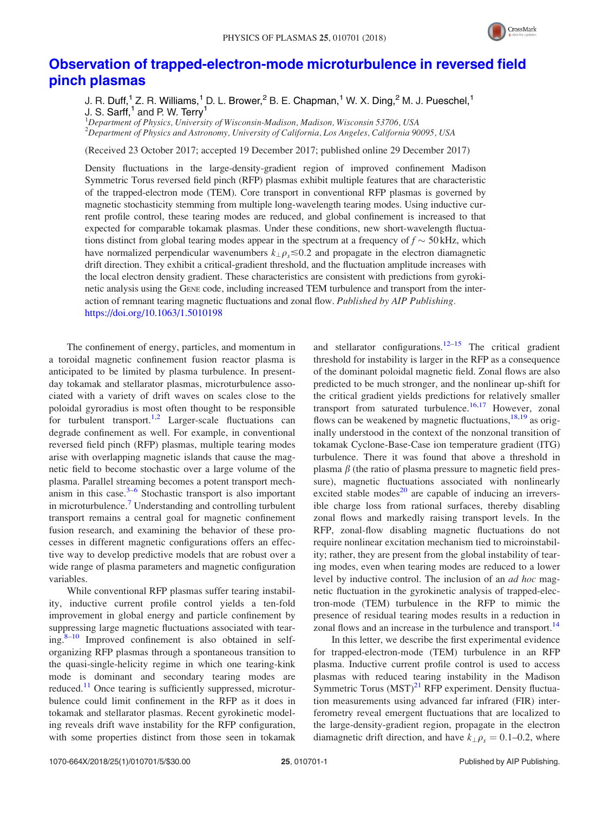

## [Observation of trapped-electron-mode microturbulence in reversed field](https://doi.org/10.1063/1.5010198) [pinch plasmas](https://doi.org/10.1063/1.5010198)

J. R. Duff,<sup>1</sup> Z. R. Williams,<sup>1</sup> D. L. Brower,<sup>2</sup> B. E. Chapman,<sup>1</sup> W. X. Ding,<sup>2</sup> M. J. Pueschel,<sup>1</sup> J. S. Sarff, $<sup>1</sup>$  and P. W. Terry<sup>1</sup></sup>

<sup>1</sup>Department of Physics, University of Wisconsin-Madison, Madison, Wisconsin 53706, USA  $^2$ Department of Physics and Astronomy, University of California, Los Angeles, California 90095, USA

(Received 23 October 2017; accepted 19 December 2017; published online 29 December 2017)

Density fluctuations in the large-density-gradient region of improved confinement Madison Symmetric Torus reversed field pinch (RFP) plasmas exhibit multiple features that are characteristic of the trapped-electron mode (TEM). Core transport in conventional RFP plasmas is governed by magnetic stochasticity stemming from multiple long-wavelength tearing modes. Using inductive current profile control, these tearing modes are reduced, and global confinement is increased to that expected for comparable tokamak plasmas. Under these conditions, new short-wavelength fluctuations distinct from global tearing modes appear in the spectrum at a frequency of  $f \sim 50 \text{ kHz}$ , which have normalized perpendicular wavenumbers  $k_{\perp} \rho_s \leq 0.2$  and propagate in the electron diamagnetic drift direction. They exhibit a critical-gradient threshold, and the fluctuation amplitude increases with the local electron density gradient. These characteristics are consistent with predictions from gyrokinetic analysis using the GENE code, including increased TEM turbulence and transport from the interaction of remnant tearing magnetic fluctuations and zonal flow. Published by AIP Publishing. <https://doi.org/10.1063/1.5010198>

The confinement of energy, particles, and momentum in a toroidal magnetic confinement fusion reactor plasma is anticipated to be limited by plasma turbulence. In presentday tokamak and stellarator plasmas, microturbulence associated with a variety of drift waves on scales close to the poloidal gyroradius is most often thought to be responsible for turbulent transport.<sup>[1,2](#page-5-0)</sup> Larger-scale fluctuations can degrade confinement as well. For example, in conventional reversed field pinch (RFP) plasmas, multiple tearing modes arise with overlapping magnetic islands that cause the magnetic field to become stochastic over a large volume of the plasma. Parallel streaming becomes a potent transport mechanism in this case. $3-6$  Stochastic transport is also important in microturbulence.<sup>[7](#page-5-0)</sup> Understanding and controlling turbulent transport remains a central goal for magnetic confinement fusion research, and examining the behavior of these processes in different magnetic configurations offers an effective way to develop predictive models that are robust over a wide range of plasma parameters and magnetic configuration variables.

While conventional RFP plasmas suffer tearing instability, inductive current profile control yields a ten-fold improvement in global energy and particle confinement by suppressing large magnetic fluctuations associated with tear $ing.<sup>8-10</sup>$  Improved confinement is also obtained in selforganizing RFP plasmas through a spontaneous transition to the quasi-single-helicity regime in which one tearing-kink mode is dominant and secondary tearing modes are reduced.<sup>[11](#page-5-0)</sup> Once tearing is sufficiently suppressed, microturbulence could limit confinement in the RFP as it does in tokamak and stellarator plasmas. Recent gyrokinetic modeling reveals drift wave instability for the RFP configuration, with some properties distinct from those seen in tokamak and stellarator configurations.<sup>[12](#page-5-0)–[15](#page-5-0)</sup> The critical gradient threshold for instability is larger in the RFP as a consequence of the dominant poloidal magnetic field. Zonal flows are also predicted to be much stronger, and the nonlinear up-shift for the critical gradient yields predictions for relatively smaller transport from saturated turbulence.<sup>[16,17](#page-5-0)</sup> However, zonal flows can be weakened by magnetic fluctuations,  $^{18,19}$  as originally understood in the context of the nonzonal transition of tokamak Cyclone-Base-Case ion temperature gradient (ITG) turbulence. There it was found that above a threshold in plasma  $\beta$  (the ratio of plasma pressure to magnetic field pressure), magnetic fluctuations associated with nonlinearly excited stable modes $^{20}$  $^{20}$  $^{20}$  are capable of inducing an irreversible charge loss from rational surfaces, thereby disabling zonal flows and markedly raising transport levels. In the RFP, zonal-flow disabling magnetic fluctuations do not require nonlinear excitation mechanism tied to microinstability; rather, they are present from the global instability of tearing modes, even when tearing modes are reduced to a lower level by inductive control. The inclusion of an *ad hoc* magnetic fluctuation in the gyrokinetic analysis of trapped-electron-mode (TEM) turbulence in the RFP to mimic the presence of residual tearing modes results in a reduction in zonal flows and an increase in the turbulence and transport.<sup>[14](#page-5-0)</sup>

In this letter, we describe the first experimental evidence for trapped-electron-mode (TEM) turbulence in an RFP plasma. Inductive current profile control is used to access plasmas with reduced tearing instability in the Madison Symmetric Torus  $(MST)^{21}$  $(MST)^{21}$  $(MST)^{21}$  RFP experiment. Density fluctuation measurements using advanced far infrared (FIR) interferometry reveal emergent fluctuations that are localized to the large-density-gradient region, propagate in the electron diamagnetic drift direction, and have  $k_{\perp} \rho_s = 0.1$ –0.2, where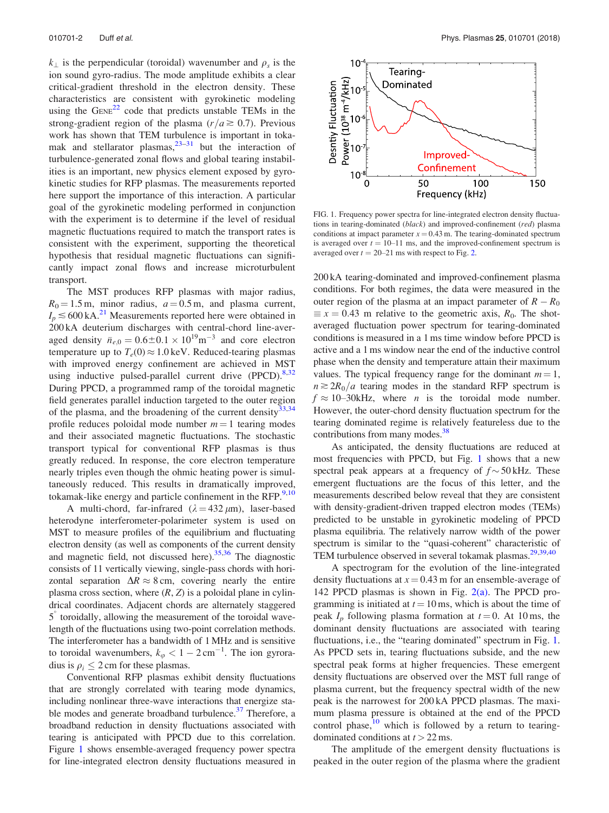$k_{\perp}$  is the perpendicular (toroidal) wavenumber and  $\rho_s$  is the ion sound gyro-radius. The mode amplitude exhibits a clear critical-gradient threshold in the electron density. These characteristics are consistent with gyrokinetic modeling using the  $G_{ENE}^{22}$  $G_{ENE}^{22}$  $G_{ENE}^{22}$  code that predicts unstable TEMs in the strong-gradient region of the plasma ( $r/a \ge 0.7$ ). Previous work has shown that TEM turbulence is important in tokamak and stellarator plasmas,  $23-31$  but the interaction of turbulence-generated zonal flows and global tearing instabilities is an important, new physics element exposed by gyrokinetic studies for RFP plasmas. The measurements reported here support the importance of this interaction. A particular goal of the gyrokinetic modeling performed in conjunction with the experiment is to determine if the level of residual magnetic fluctuations required to match the transport rates is consistent with the experiment, supporting the theoretical hypothesis that residual magnetic fluctuations can significantly impact zonal flows and increase microturbulent transport.

The MST produces RFP plasmas with major radius,  $R_0 = 1.5$  m, minor radius,  $a = 0.5$  m, and plasma current,  $I_p \lesssim 600 \text{ kA.}^{21}$  Measurements reported here were obtained in 200 kA deuterium discharges with central-chord line-averaged density  $\bar{n}_{e,0} = 0.6 \pm 0.1 \times 10^{19} \text{m}^{-3}$  and core electron temperature up to  $T_e(0) \approx 1.0 \,\text{keV}$ . Reduced-tearing plasmas with improved energy confinement are achieved in MST using inductive pulsed-parallel current drive  $(PPCD)$ .<sup>[8,32](#page-5-0)</sup> During PPCD, a programmed ramp of the toroidal magnetic field generates parallel induction targeted to the outer region of the plasma, and the broadening of the current density $^{33,34}$  $^{33,34}$  $^{33,34}$ profile reduces poloidal mode number  $m = 1$  tearing modes and their associated magnetic fluctuations. The stochastic transport typical for conventional RFP plasmas is thus greatly reduced. In response, the core electron temperature nearly triples even though the ohmic heating power is simultaneously reduced. This results in dramatically improved, tokamak-like energy and particle confinement in the RFP. $9,10$  $9,10$  $9,10$ 

A multi-chord, far-infrared  $(\lambda = 432 \,\mu\text{m})$ , laser-based heterodyne interferometer-polarimeter system is used on MST to measure profiles of the equilibrium and fluctuating electron density (as well as components of the current density and magnetic field, not discussed here). $35,36$  The diagnostic consists of 11 vertically viewing, single-pass chords with horizontal separation  $\Delta R \approx 8$  cm, covering nearly the entire plasma cross section, where  $(R, Z)$  is a poloidal plane in cylindrical coordinates. Adjacent chords are alternately staggered 5 toroidally, allowing the measurement of the toroidal wavelength of the fluctuations using two-point correlation methods. The interferometer has a bandwidth of 1 MHz and is sensitive to toroidal wavenumbers,  $k_{\varphi} < 1 - 2 \text{ cm}^{-1}$ . The ion gyroradius is  $\rho_i \leq 2$  cm for these plasmas.

Conventional RFP plasmas exhibit density fluctuations that are strongly correlated with tearing mode dynamics, including nonlinear three-wave interactions that energize stable modes and generate broadband turbulence.<sup>37</sup> Therefore, a broadband reduction in density fluctuations associated with tearing is anticipated with PPCD due to this correlation. Figure 1 shows ensemble-averaged frequency power spectra for line-integrated electron density fluctuations measured in



FIG. 1. Frequency power spectra for line-integrated electron density fluctuations in tearing-dominated (black) and improved-confinement (red) plasma conditions at impact parameter  $x = 0.43$  m. The tearing-dominated spectrum is averaged over  $t = 10-11$  ms, and the improved-confinement spectrum is averaged over  $t = 20-21$  ms with respect to Fig. [2.](#page-3-0)

200 kA tearing-dominated and improved-confinement plasma conditions. For both regimes, the data were measured in the outer region of the plasma at an impact parameter of  $R - R_0$  $\equiv x = 0.43$  m relative to the geometric axis,  $R_0$ . The shotaveraged fluctuation power spectrum for tearing-dominated conditions is measured in a 1 ms time window before PPCD is active and a 1 ms window near the end of the inductive control phase when the density and temperature attain their maximum values. The typical frequency range for the dominant  $m = 1$ ,  $n \ge 2R_0/a$  tearing modes in the standard RFP spectrum is  $f \approx 10$ –30kHz, where *n* is the toroidal mode number. However, the outer-chord density fluctuation spectrum for the tearing dominated regime is relatively featureless due to the contributions from many modes.<sup>38</sup>

As anticipated, the density fluctuations are reduced at most frequencies with PPCD, but Fig. 1 shows that a new spectral peak appears at a frequency of  $f \sim 50$  kHz. These emergent fluctuations are the focus of this letter, and the measurements described below reveal that they are consistent with density-gradient-driven trapped electron modes (TEMs) predicted to be unstable in gyrokinetic modeling of PPCD plasma equilibria. The relatively narrow width of the power spectrum is similar to the "quasi-coherent" characteristic of TEM turbulence observed in several tokamak plasmas.[29](#page-5-0),[39,40](#page-5-0)

A spectrogram for the evolution of the line-integrated density fluctuations at  $x = 0.43$  m for an ensemble-average of 142 PPCD plasmas is shown in Fig. [2\(a\).](#page-3-0) The PPCD programming is initiated at  $t = 10$  ms, which is about the time of peak  $I_p$  following plasma formation at  $t = 0$ . At 10 ms, the dominant density fluctuations are associated with tearing fluctuations, i.e., the "tearing dominated" spectrum in Fig. 1. As PPCD sets in, tearing fluctuations subside, and the new spectral peak forms at higher frequencies. These emergent density fluctuations are observed over the MST full range of plasma current, but the frequency spectral width of the new peak is the narrowest for 200 kA PPCD plasmas. The maximum plasma pressure is obtained at the end of the PPCD control phase, $10$  which is followed by a return to tearingdominated conditions at  $t > 22$  ms.

The amplitude of the emergent density fluctuations is peaked in the outer region of the plasma where the gradient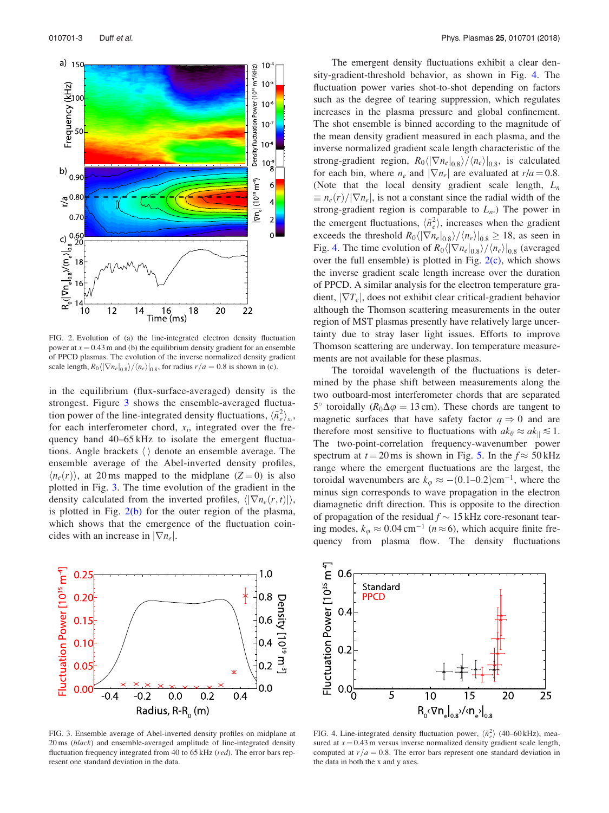<span id="page-3-0"></span>

FIG. 2. Evolution of (a) the line-integrated electron density fluctuation power at  $x = 0.43$  m and (b) the equilibrium density gradient for an ensemble of PPCD plasmas. The evolution of the inverse normalized density gradient scale length,  $R_0 \langle |\nabla n_e|_{0.8} \rangle / \langle n_e \rangle |_{0.8}$ , for radius  $r/a = 0.8$  is shown in (c).

in the equilibrium (flux-surface-averaged) density is the strongest. Figure 3 shows the ensemble-averaged fluctuation power of the line-integrated density fluctuations,  $\langle \tilde{n}_e^2 \rangle_{x_i}$ , for each interferometer chord,  $x_i$ , integrated over the frequency band 40–65 kHz to isolate the emergent fluctuations. Angle brackets  $\langle \rangle$  denote an ensemble average. The ensemble average of the Abel-inverted density profiles,  $\langle n_e(r) \rangle$ , at 20 ms mapped to the midplane (Z = 0) is also plotted in Fig. 3. The time evolution of the gradient in the density calculated from the inverted profiles,  $\langle \nabla n_e(r,t) \rangle$ , is plotted in Fig.  $2(b)$  for the outer region of the plasma, which shows that the emergence of the fluctuation coincides with an increase in  $|\nabla n_e|$ .



FIG. 3. Ensemble average of Abel-inverted density profiles on midplane at 20 ms (black) and ensemble-averaged amplitude of line-integrated density fluctuation frequency integrated from 40 to 65 kHz (red). The error bars represent one standard deviation in the data.

The emergent density fluctuations exhibit a clear density-gradient-threshold behavior, as shown in Fig. 4. The fluctuation power varies shot-to-shot depending on factors such as the degree of tearing suppression, which regulates increases in the plasma pressure and global confinement. The shot ensemble is binned according to the magnitude of the mean density gradient measured in each plasma, and the inverse normalized gradient scale length characteristic of the strong-gradient region,  $R_0\langle |\nabla n_e|_{0.8}\rangle / \langle n_e \rangle |_{0.8}$ , is calculated for each bin, where  $n_e$  and  $|\nabla n_e|$  are evaluated at  $r/a = 0.8$ . (Note that the local density gradient scale length,  $L_n$  $\equiv n_e(r)/|\nabla n_e|$ , is not a constant since the radial width of the strong-gradient region is comparable to  $L_n$ .) The power in the emergent fluctuations,  $\langle \tilde{n}_e^2 \rangle$ , increases when the gradient exceeds the threshold  $R_0 \langle |\nabla n_e|_{0.8} \rangle / \langle n_e \rangle |_{0.8} \ge 18$ , as seen in Fig. 4. The time evolution of  $R_0 \langle |\nabla n_e|_{0.8} \rangle / \langle n_e \rangle |_{0.8}$  (averaged over the full ensemble) is plotted in Fig.  $2(c)$ , which shows the inverse gradient scale length increase over the duration of PPCD. A similar analysis for the electron temperature gradient,  $|\nabla T_e|$ , does not exhibit clear critical-gradient behavior although the Thomson scattering measurements in the outer region of MST plasmas presently have relatively large uncertainty due to stray laser light issues. Efforts to improve Thomson scattering are underway. Ion temperature measurements are not available for these plasmas.

The toroidal wavelength of the fluctuations is determined by the phase shift between measurements along the two outboard-most interferometer chords that are separated 5° toroidally ( $R_0\Delta\varphi = 13$  cm). These chords are tangent to magnetic surfaces that have safety factor  $q \Rightarrow 0$  and are therefore most sensitive to fluctuations with  $ak_{\theta} \approx ak_{\parallel} \leq 1$ . The two-point-correlation frequency-wavenumber power spectrum at  $t = 20$  ms is shown in Fig. [5.](#page-4-0) In the  $f \approx 50$  kHz range where the emergent fluctuations are the largest, the toroidal wavenumbers are  $k_{\varphi} \approx -(0.1-0.2)$ cm<sup>-1</sup>, where the minus sign corresponds to wave propagation in the electron diamagnetic drift direction. This is opposite to the direction of propagation of the residual  $f \sim 15$  kHz core-resonant tearing modes,  $k_{\varphi} \approx 0.04 \text{ cm}^{-1}$  ( $n \approx 6$ ), which acquire finite frequency from plasma flow. The density fluctuations



FIG. 4. Line-integrated density fluctuation power,  $\langle \hat{n}_e^2 \rangle$  (40–60 kHz), measured at  $x = 0.43$  m versus inverse normalized density gradient scale length, computed at  $r/a = 0.8$ . The error bars represent one standard deviation in the data in both the x and y axes.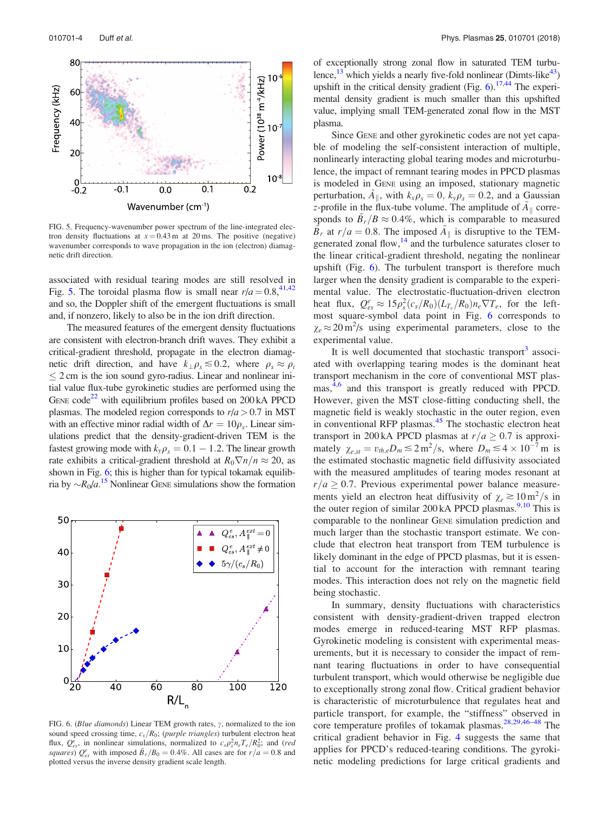<span id="page-4-0"></span>

FIG. 5. Frequency-wavenumber power spectrum of the line-integrated electron density fluctuations at  $x = 0.43$  m at 20 ms. The positive (negative) wavenumber corresponds to wave propagation in the ion (electron) diamagnetic drift direction.

associated with residual tearing modes are still resolved in Fig. 5. The toroidal plasma flow is small near  $r/a = 0.8$ , <sup>41,42</sup> and so, the Doppler shift of the emergent fluctuations is small and, if nonzero, likely to also be in the ion drift direction.

The measured features of the emergent density fluctuations are consistent with electron-branch drift waves. They exhibit a critical-gradient threshold, propagate in the electron diamagnetic drift direction, and have  $k_{\perp} \rho_s \leq 0.2$ , where  $\rho_s \approx \rho_i$  $\leq$  2 cm is the ion sound gyro-radius. Linear and nonlinear initial value flux-tube gyrokinetic studies are performed using the GENE code<sup>22</sup> with equilibrium profiles based on  $200 \text{ kA}$  PPCD plasmas. The modeled region corresponds to  $r/a > 0.7$  in MST with an effective minor radial width of  $\Delta r = 10\rho_s$ . Linear simulations predict that the density-gradient-driven TEM is the fastest growing mode with  $k_y \rho_s = 0.1 - 1.2$ . The linear growth rate exhibits a critical-gradient threshold at  $R_0 \nabla n/n \approx 20$ , as shown in Fig. 6; this is higher than for typical tokamak equilibria by  $\sim R_0/a$ .<sup>[15](#page-5-0)</sup> Nonlinear GENE simulations show the formation



FIG. 6. (Blue diamonds) Linear TEM growth rates,  $\gamma$ , normalized to the ion sound speed crossing time,  $c_s/R_0$ ; (purple triangles) turbulent electron heat flux,  $Q_{es}^e$ , in nonlinear simulations, normalized to  $c_s \rho_s^2 n_e T_e / R_0^2$ ; and (red squares)  $Q_{es}^e$  with imposed  $\tilde{B}_r/B_0 = 0.4\%$ . All cases are for  $r/a = 0.8$  and plotted versus the inverse density gradient scale length.

of exceptionally strong zonal flow in saturated TEM turbulence, $^{13}$  which yields a nearly five-fold nonlinear (Dimts-like<sup>43</sup>) upshift in the critical density gradient (Fig.  $6$ ).<sup>17,44</sup> The experimental density gradient is much smaller than this upshifted value, implying small TEM-generated zonal flow in the MST plasma.

Since GENE and other gyrokinetic codes are not yet capable of modeling the self-consistent interaction of multiple, nonlinearly interacting global tearing modes and microturbulence, the impact of remnant tearing modes in PPCD plasmas is modeled in GENE using an imposed, stationary magnetic perturbation,  $A_{\parallel}$ , with  $k_x \rho_s = 0$ ,  $k_y \rho_s = 0.2$ , and a Gaussian z-profile in the flux-tube volume. The amplitude of  $A_{\parallel}$  corresponds to  $B_r/B \approx 0.4\%$ , which is comparable to measured  $\widetilde{B}_r$  at  $r/a = 0.8$ . The imposed  $\widetilde{A}_{\parallel}$  is disruptive to the TEMgenerated zonal flow, $14$  and the turbulence saturates closer to the linear critical-gradient threshold, negating the nonlinear upshift (Fig.  $6$ ). The turbulent transport is therefore much larger when the density gradient is comparable to the experimental value. The electrostatic-fluctuation-driven electron heat flux,  $Q_{es}^e \approx 15 \rho_s^2 (c_s/R_0) (L_{T_e}/R_0) n_e \nabla T_e$ , for the leftmost square-symbol data point in Fig. 6 corresponds to  $\chi_e \approx 20 \text{ m}^2/\text{s}$  using experimental parameters, close to the experimental value.

It is well documented that stochastic transport $3$  associated with overlapping tearing modes is the dominant heat transport mechanism in the core of conventional MST plas-mas,<sup>[4,6](#page-5-0)</sup> and this transport is greatly reduced with PPCD. However, given the MST close-fitting conducting shell, the magnetic field is weakly stochastic in the outer region, even in conventional RFP plasmas.<sup>[45](#page-5-0)</sup> The stochastic electron heat transport in 200 kA PPCD plasmas at  $r/a \geq 0.7$  is approximately  $\chi_{e, st} = v_{th, e} D_m \leq 2 \text{ m}^2/\text{s}$ , where  $D_m \leq 4 \times 10^{-7} \text{ m}$  is the estimated stochastic magnetic field diffusivity associated with the measured amplitudes of tearing modes resonant at  $r/a > 0.7$ . Previous experimental power balance measurements yield an electron heat diffusivity of  $\chi_e \gtrsim 10 \text{ m}^2/\text{s}$  in the outer region of similar 200 kA PPCD plasmas.<sup>[9,10](#page-5-0)</sup> This is comparable to the nonlinear GENE simulation prediction and much larger than the stochastic transport estimate. We conclude that electron heat transport from TEM turbulence is likely dominant in the edge of PPCD plasmas, but it is essential to account for the interaction with remnant tearing modes. This interaction does not rely on the magnetic field being stochastic.

In summary, density fluctuations with characteristics consistent with density-gradient-driven trapped electron modes emerge in reduced-tearing MST RFP plasmas. Gyrokinetic modeling is consistent with experimental measurements, but it is necessary to consider the impact of remnant tearing fluctuations in order to have consequential turbulent transport, which would otherwise be negligible due to exceptionally strong zonal flow. Critical gradient behavior is characteristic of microturbulence that regulates heat and particle transport, for example, the "stiffness" observed in core temperature profiles of tokamak plasmas.<sup>[28,29,46–48](#page-5-0)</sup> The critical gradient behavior in Fig. [4](#page-3-0) suggests the same that applies for PPCD's reduced-tearing conditions. The gyrokinetic modeling predictions for large critical gradients and